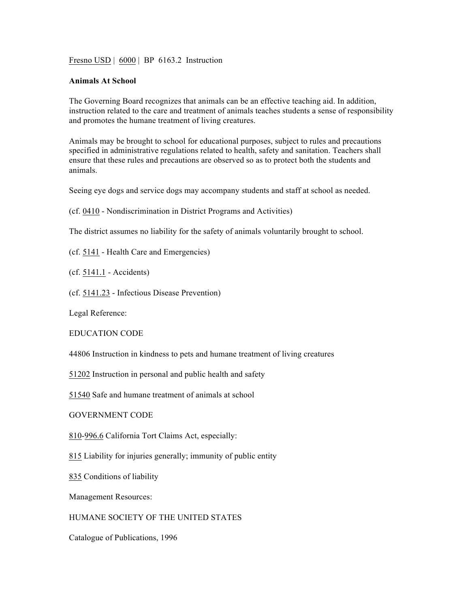Fresno USD | 6000 | BP 6163.2 Instruction

## **Animals At School**

The Governing Board recognizes that animals can be an effective teaching aid. In addition, instruction related to the care and treatment of animals teaches students a sense of responsibility and promotes the humane treatment of living creatures.

Animals may be brought to school for educational purposes, subject to rules and precautions specified in administrative regulations related to health, safety and sanitation. Teachers shall ensure that these rules and precautions are observed so as to protect both the students and animals.

Seeing eye dogs and service dogs may accompany students and staff at school as needed.

(cf. 0410 - Nondiscrimination in District Programs and Activities)

The district assumes no liability for the safety of animals voluntarily brought to school.

(cf. 5141 - Health Care and Emergencies)

(cf. 5141.1 - Accidents)

(cf. 5141.23 - Infectious Disease Prevention)

Legal Reference:

EDUCATION CODE

44806 Instruction in kindness to pets and humane treatment of living creatures

51202 Instruction in personal and public health and safety

51540 Safe and humane treatment of animals at school

GOVERNMENT CODE

810-996.6 California Tort Claims Act, especially:

815 Liability for injuries generally; immunity of public entity

835 Conditions of liability

Management Resources:

## HUMANE SOCIETY OF THE UNITED STATES

Catalogue of Publications, 1996